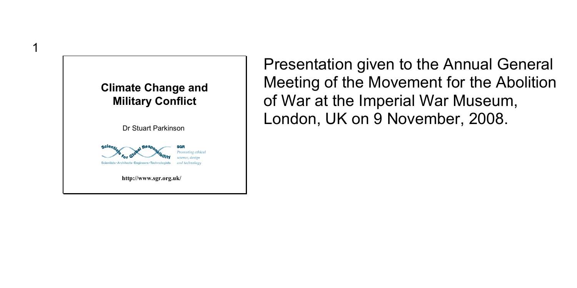

1

Presentation given to the Annual General Meeting of the Movement for the Abolition of War at the Imperial War Museum, London, UK on 9 November, 2008.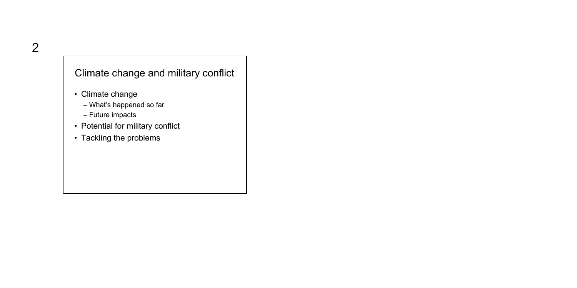#### Climate change and military conflict

- Climate change
	- What's happened so far
	- Future impacts
- Potential for military conflict
- Tackling the problems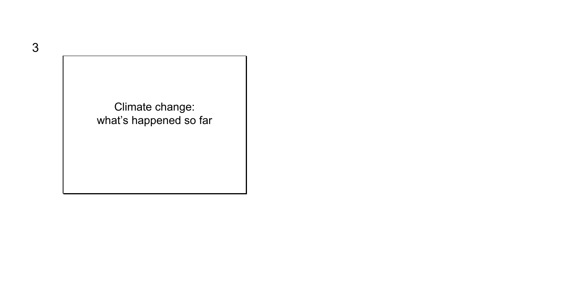Climate change: what's happened so far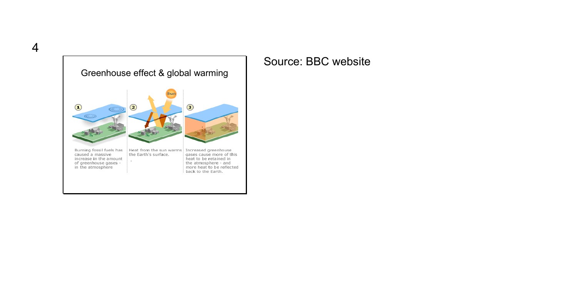

## Source: BBC website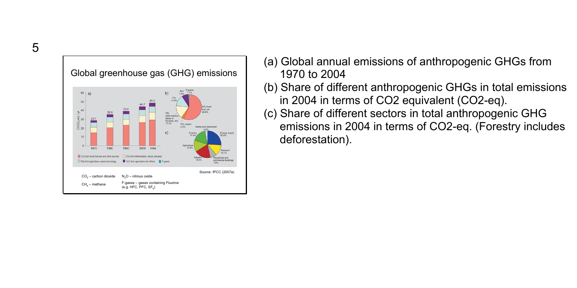Global greenhouse gas (GHG) emissions (deforestation)<br>decay of<br>biomass, etc) Agriculture 1980 1990 2000 2004 CO<sub>2</sub> from fossil fuel use and other sources 
<sub>CO2</sub> from deforestation, decay and peat No from agriculture and others **E** Figures CH4 from agriculture, waste and energy Source: IPCC (2007a) N<sub>2</sub>O – nitrous oxide CO2 – carbon dioxide F-gases – gases containing Fluorine CH<sub>1</sub> – methane  $(6.0$  HFC, PFC, SF<sub>-1</sub>)

- (a) Global annual emissions of anthropogenic GHGs from 1970 to 2004
- (b) Share of different anthropogenic GHGs in total emissions in 2004 in terms of CO2 equivalent (CO2-eq).
- (c) Share of different sectors in total anthropogenic GHG emissions in 2004 in terms of CO2-eq. (Forestry includes deforestation).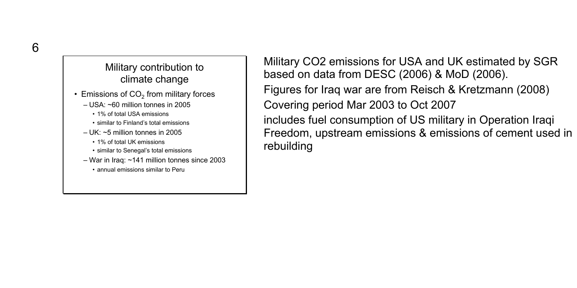## Military contribution to climate change

- $\cdot$  Emissions of CO<sub>2</sub> from military forces
	- USA: ~60 million tonnes in 2005
		- 1% of total USA emissions
		- similar to Finland's total emissions
	- $-1$  IK:  $\sim$ 5 million tonnes in 2005
		- 1% of total UK emissions
		- similar to Senegal's total emissions
	- War in Iraq: ~141 million tonnes since 2003
		- annual emissions similar to Peru

Military CO2 emissions for USA and UK estimated by SGR based on data from DESC (2006) & MoD (2006). Figures for Iraq war are from Reisch & Kretzmann (2008) Covering period Mar 2003 to Oct 2007 includes fuel consumption of US military in Operation Iraqi Freedom, upstream emissions & emissions of cement used in rebuilding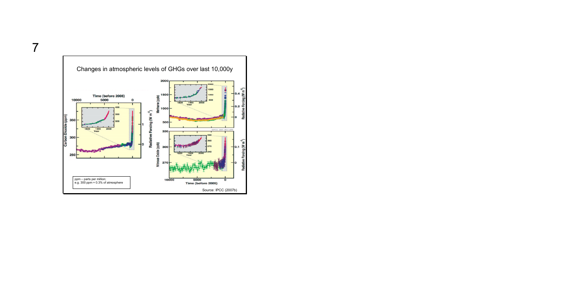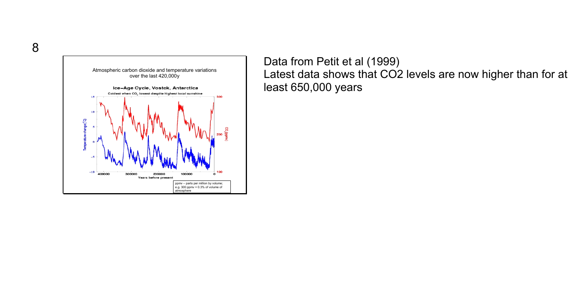

Data from Petit et al (1999) Latest data shows that CO2 levels are now higher than for at least 650,000 years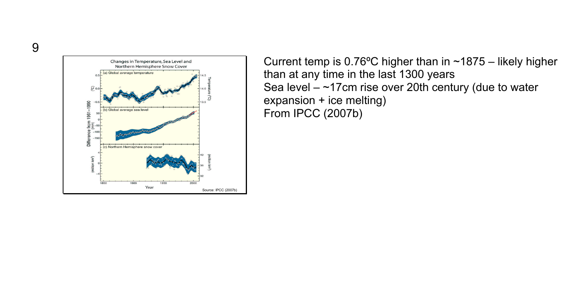

Current temp is  $0.76^{\circ}$ C higher than in ~1875 – likely higher than at any time in the last 1300 years Sea level  $-$  ~17cm rise over 20th century (due to water expansion + ice melting) From IPCC (2007b)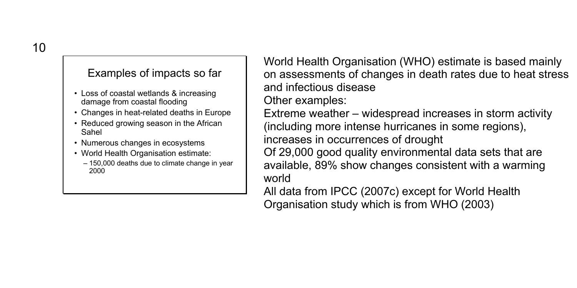#### Examples of impacts so far

- Loss of coastal wetlands & increasing damage from coastal flooding
- Changes in heat-related deaths in Europe
- Reduced growing season in the African Sahel
- Numerous changes in ecosystems
- World Health Organisation estimate:
	- 150,000 deaths due to climate change in year 2000

World Health Organisation (WHO) estimate is based mainly on assessments of changes in death rates due to heat stress and infectious disease Other examples: Extreme weather – widespread increases in storm activity (including more intense hurricanes in some regions), increases in occurrences of drought Of 29,000 good quality environmental data sets that are available, 89% show changes consistent with a warming world

All data from IPCC (2007c) except for World Health Organisation study which is from WHO (2003)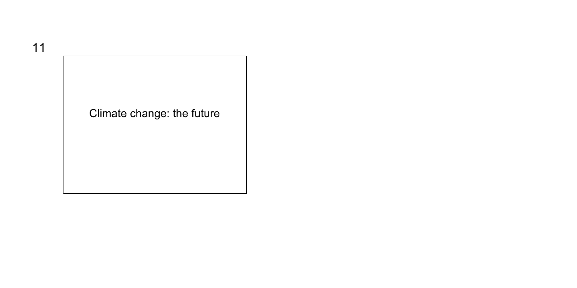11

Climate change: the future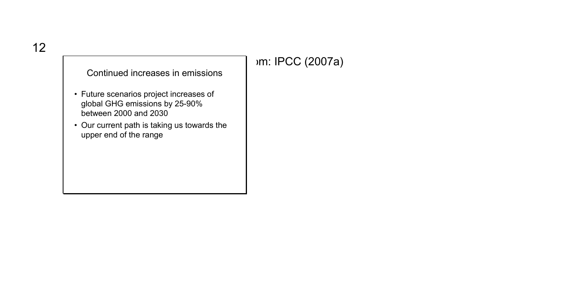## om: IPCC (2007a)

Continued increases in emissions

- Future scenarios project increases of global GHG emissions by 25-90% between 2000 and 2030
- Our current path is taking us towards the upper end of the range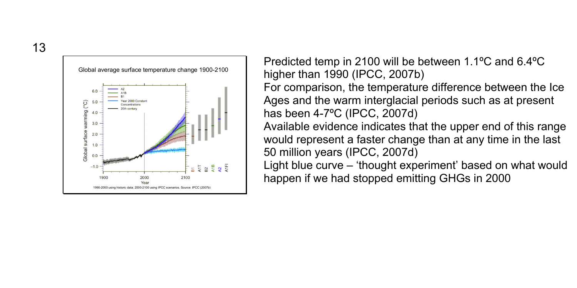13



Predicted temp in 2100 will be between 1.1ºC and 6.4ºC higher than 1990 (IPCC, 2007b) For comparison, the temperature difference between the Ice

Ages and the warm interglacial periods such as at present has been 4-7ºC (IPCC, 2007d)

Available evidence indicates that the upper end of this range would represent a faster change than at any time in the last 50 million years (IPCC, 2007d)

Light blue curve – 'thought experiment' based on what would happen if we had stopped emitting GHGs in 2000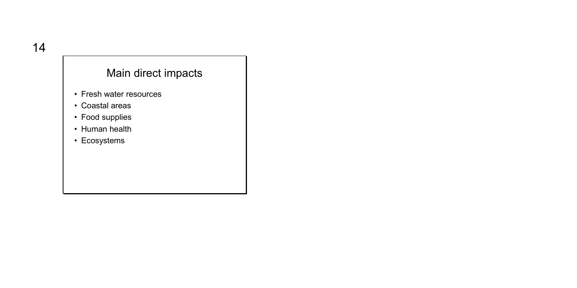## Main direct impacts

- Fresh water resources
- Coastal areas
- Food supplies
- Human health
- Ecosystems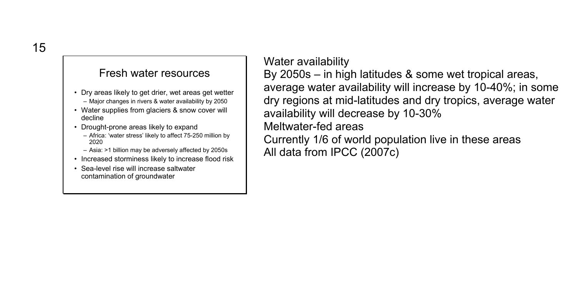## Fresh water resources

- Dry areas likely to get drier, wet areas get wetter – Major changes in rivers & water availability by 2050
- Water supplies from glaciers & snow cover will decline
- Drought-prone areas likely to expand
	- Africa: 'water stress' likely to affect 75-250 million by 2020
	- Asia: >1 billion may be adversely affected by 2050s
- Increased storminess likely to increase flood risk
- Sea-level rise will increase saltwater contamination of groundwater

Water availability By 2050s – in high latitudes & some wet tropical areas, average water availability will increase by 10-40%; in some dry regions at mid-latitudes and dry tropics, average water availability will decrease by 10-30% Meltwater-fed areas Currently 1/6 of world population live in these areas All data from IPCC (2007c)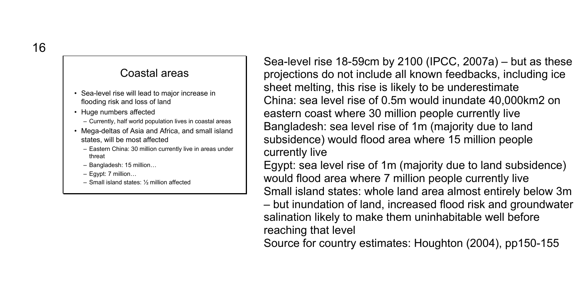#### Coastal areas

- Sea-level rise will lead to major increase in flooding risk and loss of land
- Huge numbers affected
	- Currently, half world population lives in coastal areas
- Mega-deltas of Asia and Africa, and small island states, will be most affected
	- Eastern China: 30 million currently live in areas under threat
	- Bangladesh: 15 million…
	- Egypt: 7 million…
	- Small island states: ½ million affected

Sea-level rise 18-59cm by 2100 (IPCC, 2007a) – but as these projections do not include all known feedbacks, including ice sheet melting, this rise is likely to be underestimate China: sea level rise of 0.5m would inundate 40,000km2 on eastern coast where 30 million people currently live Bangladesh: sea level rise of 1m (majority due to land subsidence) would flood area where 15 million people currently live

Egypt: sea level rise of 1m (majority due to land subsidence) would flood area where 7 million people currently live Small island states: whole land area almost entirely below 3m

– but inundation of land, increased flood risk and groundwater salination likely to make them uninhabitable well before reaching that level

Source for country estimates: Houghton (2004), pp150-155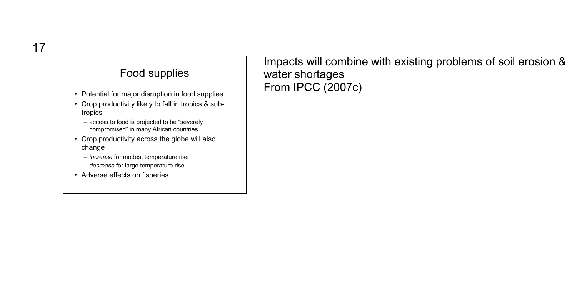## Food supplies

- Potential for major disruption in food supplies
- Crop productivity likely to fall in tropics & subtropics
	- access to food is projected to be "severely compromised" in many African countries
- Crop productivity across the globe will also change
	- *increase* for modest temperature rise
	- *decrease* for large temperature rise
- Adverse effects on fisheries

Impacts will combine with existing problems of soil erosion & water shortages From IPCC (2007c)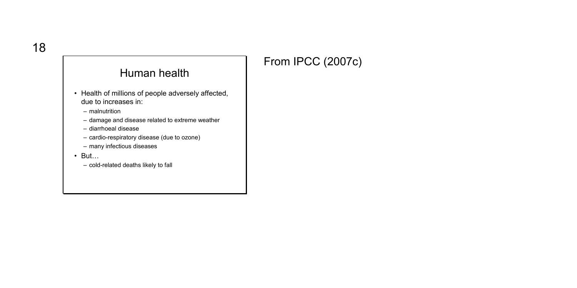## From IPCC (2007c)

## Human health

- Health of millions of people adversely affected, due to increases in:
	- malnutrition
	- damage and disease related to extreme weather
	- diarrhoeal disease
	- cardio-respiratory disease (due to ozone)
	- many infectious diseases
- But…
	- cold-related deaths likely to fall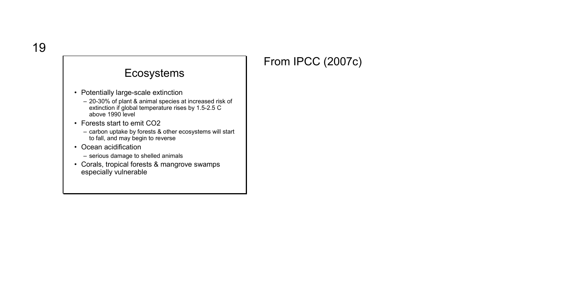# From IPCC (2007c)

## Ecosystems

- Potentially large-scale extinction
	- 20-30% of plant & animal species at increased risk of extinction if global temperature rises by 1.5-2.5 C above 1990 level
- Forests start to emit CO2
	- carbon uptake by forests & other ecosystems will start to fall, and may begin to reverse
- Ocean acidification
	- serious damage to shelled animals
- Corals, tropical forests & mangrove swamps especially vulnerable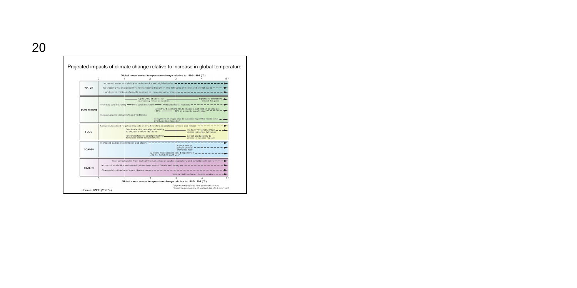| n                 |                                                                                                                                                                                                                                                                  |                                                                                                              | Global mean annual temperature change relative to 1980-1999 ("C)                                          |                                                                                                                         |  |
|-------------------|------------------------------------------------------------------------------------------------------------------------------------------------------------------------------------------------------------------------------------------------------------------|--------------------------------------------------------------------------------------------------------------|-----------------------------------------------------------------------------------------------------------|-------------------------------------------------------------------------------------------------------------------------|--|
| <b>WATER</b>      | Increased water availability in moist trapics and high latitudes we -<br>Decreasing water availability and increasing drought in mid-latitudes and semi-arid low latitudes = = = = = =<br>Hundreds of millions of people exposed to increased water stress - - - |                                                                                                              |                                                                                                           |                                                                                                                         |  |
| <b>FCOSYSTEMS</b> | Increased cond bleaching - Most conds bleached - Widespread cond mortality = = = = = = = = = = = =                                                                                                                                                               | Up to 30% of species at _<br>increasing risk of extinction                                                   |                                                                                                           | Significant' extinctions and<br>arraind the eletion                                                                     |  |
|                   | Increasing species range shifts and wildfire risk                                                                                                                                                                                                                |                                                                                                              | overturning circulation                                                                                   | Terrestrial biosebere tends toward a net carbon source as-<br>Ecosystem changes due to weakening of the meridional = -  |  |
| FOOD              |                                                                                                                                                                                                                                                                  | Tendencies for cereal productivity<br>to decrease in low latitudes<br>to increase at mid- to high latitudes. | Tendencies for some cereal productivity                                                                   | Productivity of all cereals - - -<br>decreases in low latitudes.<br>Cereal productivity to<br>decrease in some regions. |  |
| COASTS            | Increased damage from floods and storms we we we we we we we we we we we we we                                                                                                                                                                                   |                                                                                                              | About 30% of<br>wertlangts less!<br>Millions more people could experience.<br>coastal flooding each year. | $abcd$ coastal $- - -$                                                                                                  |  |
| <b>HEALTH</b>     | Increasing burden from matrutrition, diarchoeal, cardio respiratory, and infectious diseases = = = = +<br>Increased morbidity and mortality from heat waves, floods, and droughts = = = =<br>Changed distribution of some disease vectors - -                    |                                                                                                              |                                                                                                           | Substantial burden on beach services on m m                                                                             |  |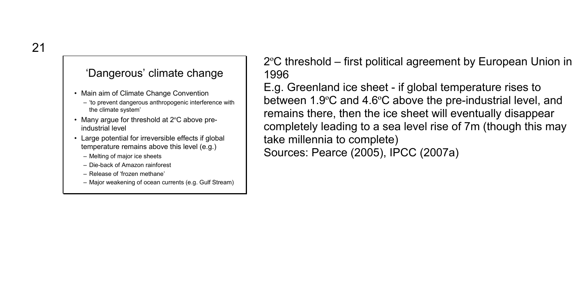### 'Dangerous' climate change

- Main aim of Climate Change Convention
	- 'to prevent dangerous anthropogenic interference with the climate system'
- Many argue for threshold at 2°C above preindustrial level
- Large potential for irreversible effects if global temperature remains above this level (e.g.)
	- Melting of major ice sheets
	- Die-back of Amazon rainforest
	- Release of 'frozen methane'
	- Major weakening of ocean currents (e.g. Gulf Stream)

2ºC threshold – first political agreement by European Union in 1996

E.g. Greenland ice sheet - if global temperature rises to between 1.9ºC and 4.6ºC above the pre-industrial level, and remains there, then the ice sheet will eventually disappear completely leading to a sea level rise of 7m (though this may take millennia to complete)

Sources: Pearce (2005), IPCC (2007a)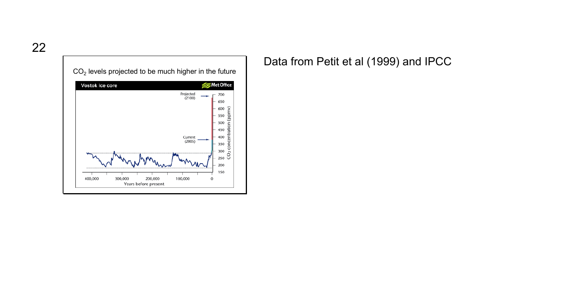

Data from Petit et al (1999) and IPCC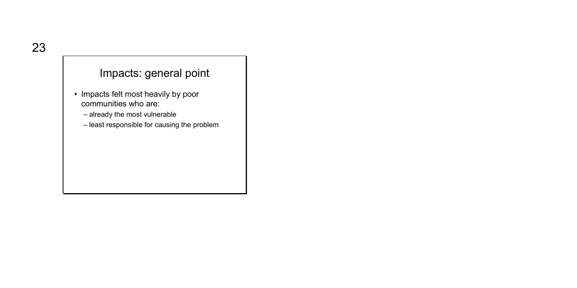## Impacts: general point

- Impacts felt most heavily by poor communities who are:
	- already the most vulnerable
	- least responsible for causing the problem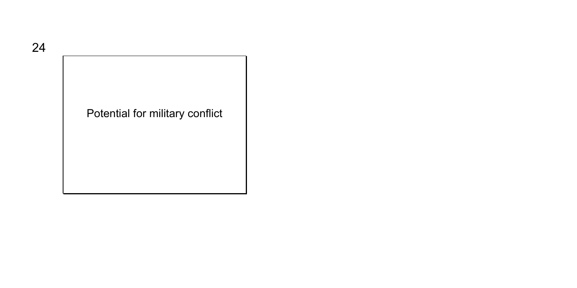# Potential for military conflict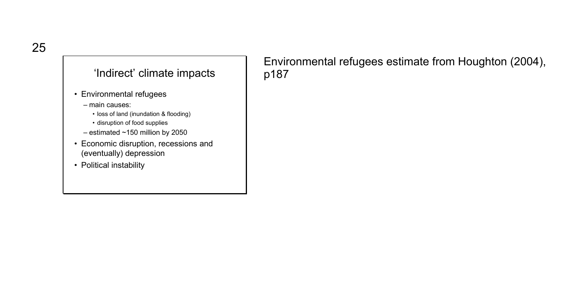## 'Indirect' climate impacts

- Environmental refugees
	- main causes:
		- loss of land (inundation & flooding)
		- disruption of food supplies
	- estimated ~150 million by 2050
- Economic disruption, recessions and (eventually) depression
- Political instability

Environmental refugees estimate from Houghton (2004), p187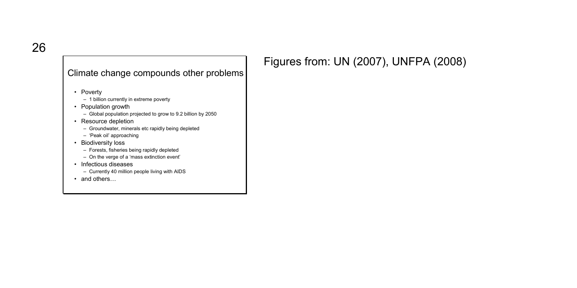#### Climate change compounds other problems

- Poverty
	- 1 billion currently in extreme poverty
- Population growth
	- Global population projected to grow to 9.2 billion by 2050
- Resource depletion
	- Groundwater, minerals etc rapidly being depleted
	- 'Peak oil' approaching
- Biodiversity loss
	- Forests, fisheries being rapidly depleted
	- On the verge of a 'mass extinction event'
- Infectious diseases
	- Currently 40 million people living with AIDS
- and others...

# Figures from: UN (2007), UNFPA (2008)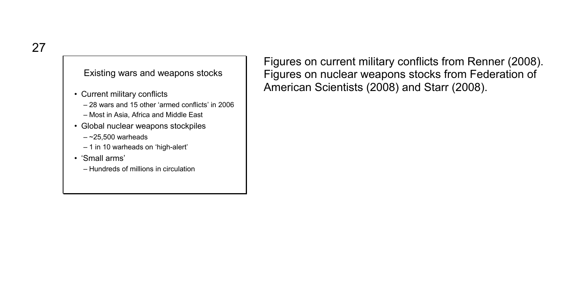Existing wars and weapons stocks

- Current military conflicts
	- 28 wars and 15 other 'armed conflicts' in 2006
	- Most in Asia, Africa and Middle East
- Global nuclear weapons stockpiles
	- $-$  ~25,500 warheads
	- 1 in 10 warheads on 'high-alert'
- 'Small arms'
	- Hundreds of millions in circulation

Figures on current military conflicts from Renner (2008). Figures on nuclear weapons stocks from Federation of American Scientists (2008) and Starr (2008).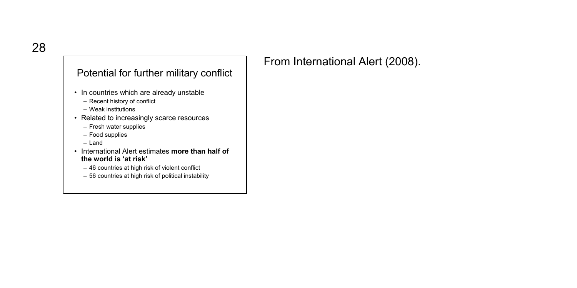#### Potential for further military conflict

- In countries which are already unstable
	- Recent history of conflict
	- Weak institutions
- Related to increasingly scarce resources
	- Fresh water supplies
	- Food supplies
	- Land
- International Alert estimates **more than half of the world is 'at risk'**
	- 46 countries at high risk of violent conflict
	- 56 countries at high risk of political instability

From International Alert (2008).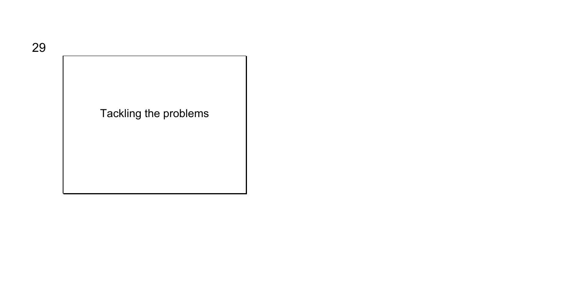# Tackling the problems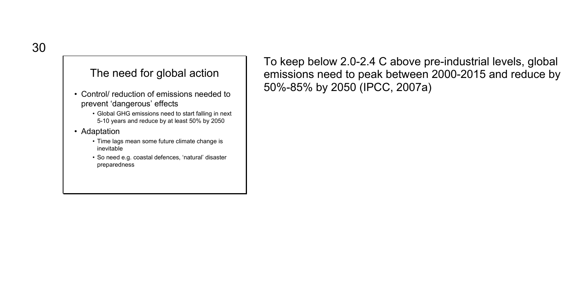#### The need for global action

- Control/ reduction of emissions needed to prevent 'dangerous' effects
	- Global GHG emissions need to start falling in next 5-10 years and reduce by at least 50% by 2050
- Adaptation
	- Time lags mean some future climate change is inevitable
	- So need e.g. coastal defences, 'natural' disaster preparedness

To keep below 2.0-2.4 C above pre-industrial levels, global emissions need to peak between 2000-2015 and reduce by 50%-85% by 2050 (IPCC, 2007a)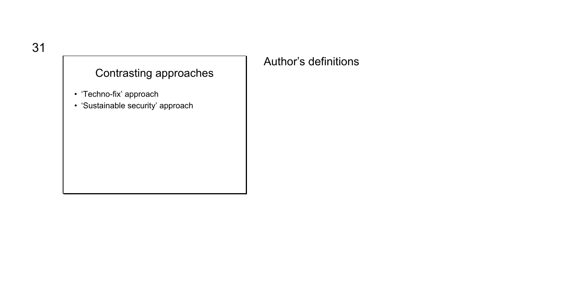# Contrasting approaches

- 'Techno-fix' approach
- 'Sustainable security' approach

## Author's definitions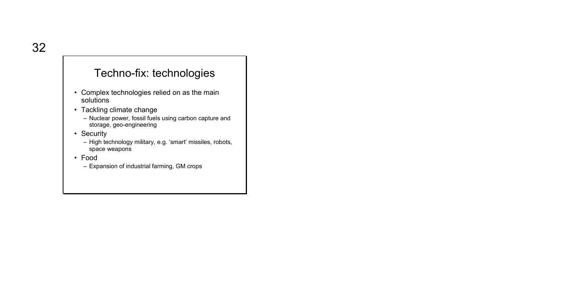## Techno-fix: technologies

- Complex technologies relied on as the main solutions
- Tackling climate change
	- Nuclear power, fossil fuels using carbon capture and storage, geo-engineering
- Security
	- High technology military, e.g. 'smart' missiles, robots, space weapons
- Food
	- Expansion of industrial farming, GM crops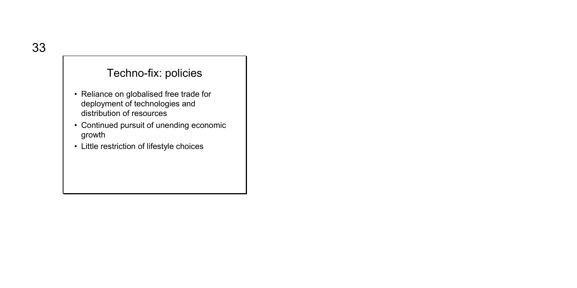# Techno-fix: policies

- Reliance on globalised free trade for deployment of technologies and distribution of resources
- Continued pursuit of unending economic growth
- Little restriction of lifestyle choices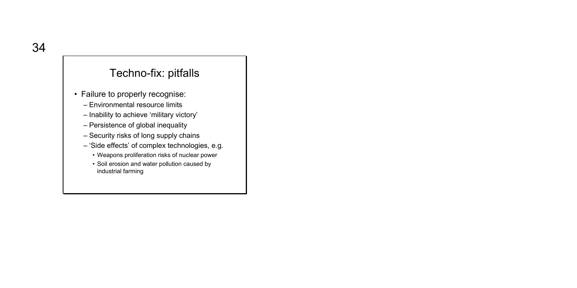## Techno-fix: pitfalls

- Failure to properly recognise:
	- Environmental resource limits
	- Inability to achieve 'military victory'
	- Persistence of global inequality
	- Security risks of long supply chains
	- 'Side effects' of complex technologies, e.g.
		- Weapons proliferation risks of nuclear power
		- Soil erosion and water pollution caused by industrial farming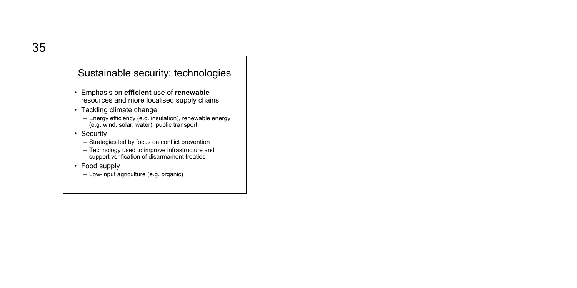#### Sustainable security: technologies

- Emphasis on **efficient** use of **renewable**  resources and more localised supply chains
- Tackling climate change
	- Energy efficiency (e.g. insulation), renewable energy (e.g. wind, solar, water), public transport
- Security
	- Strategies led by focus on conflict prevention
	- Technology used to improve infrastructure and support verification of disarmament treaties
- Food supply
	- Low-input agriculture (e.g. organic)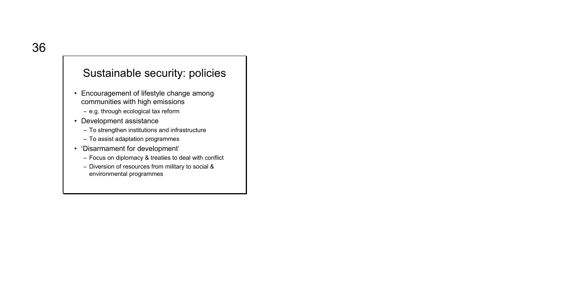## Sustainable security: policies

- Encouragement of lifestyle change among communities with high emissions
	- e.g. through ecological tax reform
- Development assistance
	- To strengthen institutions and infrastructure
	- To assist adaptation programmes
- 'Disarmament for development'
	- Focus on diplomacy & treaties to deal with conflict
	- Diversion of resources from military to social & environmental programmes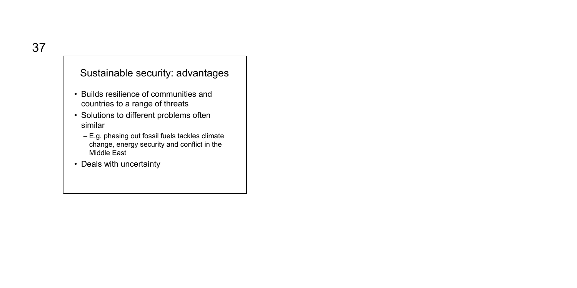#### Sustainable security: advantages

- Builds resilience of communities and countries to a range of threats
- Solutions to different problems often similar
	- E.g. phasing out fossil fuels tackles climate change, energy security and conflict in the Middle East
- Deals with uncertainty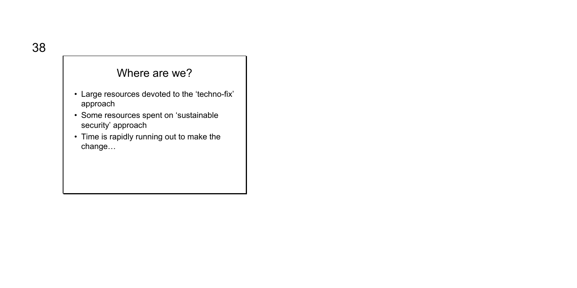## Where are we?

- Large resources devoted to the 'techno-fix' approach
- Some resources spent on 'sustainable security' approach
- Time is rapidly running out to make the change…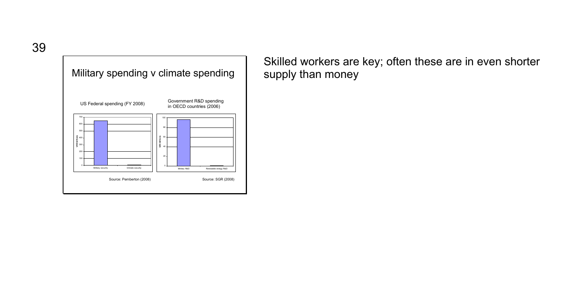39



Skilled workers are key; often these are in even shorter supply than money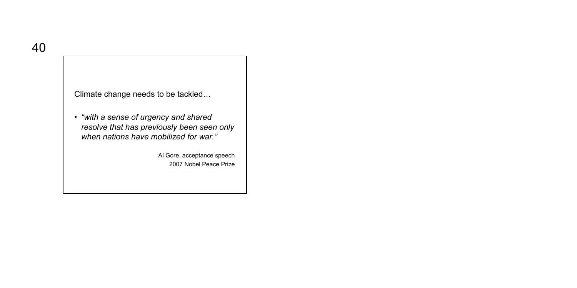Climate change needs to be tackled…

• *"with a sense of urgency and shared resolve that has previously been seen only when nations have mobilized for war."*

> Al Gore, acceptance speech 2007 Nobel Peace Prize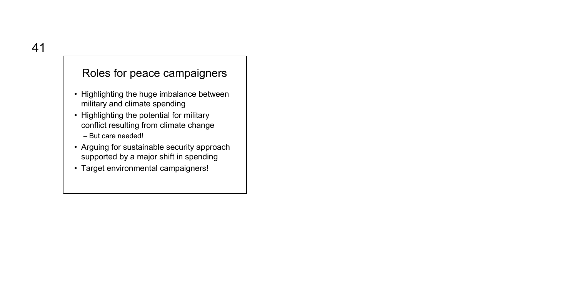# Roles for peace campaigners

- Highlighting the huge imbalance between military and climate spending
- Highlighting the potential for military conflict resulting from climate change – But care needed!
- Arguing for sustainable security approach supported by a major shift in spending
- Target environmental campaigners!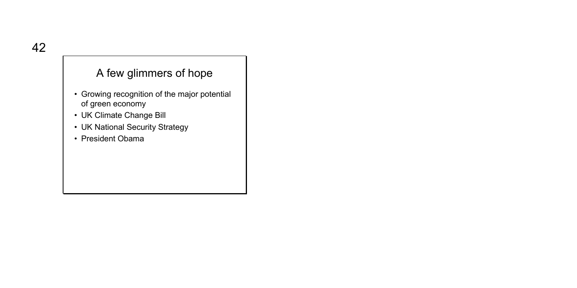## A few glimmers of hope

- Growing recognition of the major potential of green economy
- UK Climate Change Bill
- UK National Security Strategy
- President Obama